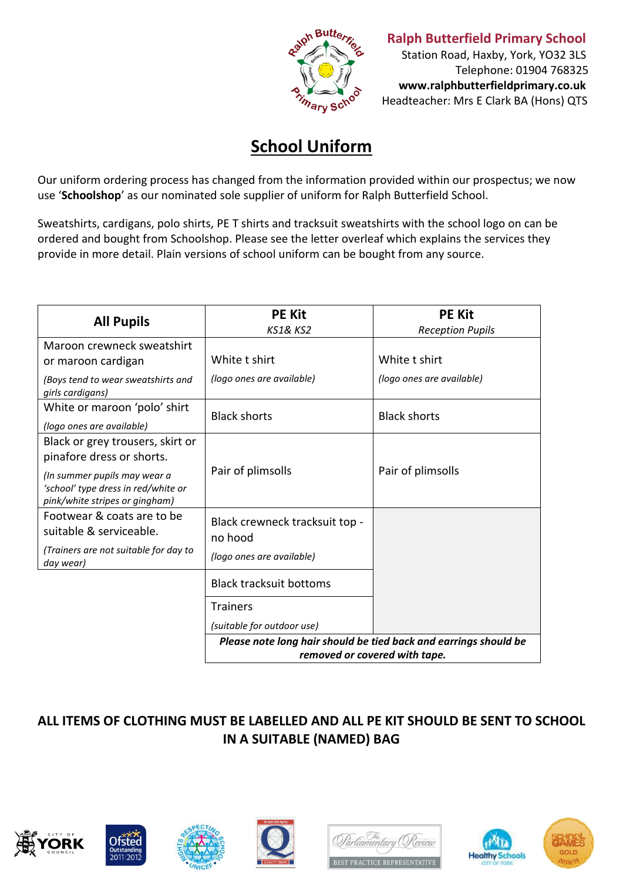

*Butters* **Ralph Butterfield Primary School** 

 Station Road, Haxby, York, YO32 3LS Telephone: 01904 768325  **www.ralphbutterfieldprimary.co.uk** Headteacher: Mrs E Clark BA (Hons) QTS

## **School Uniform**

Our uniform ordering process has changed from the information provided within our prospectus; we now use '**Schoolshop**' as our nominated sole supplier of uniform for Ralph Butterfield School.

Sweatshirts, cardigans, polo shirts, PE T shirts and tracksuit sweatshirts with the school logo on can be ordered and bought from Schoolshop. Please see the letter overleaf which explains the services they provide in more detail. Plain versions of school uniform can be bought from any source.

| <b>All Pupils</b>                                                                                                                                                      | <b>PE Kit</b><br><b>KS1&amp; KS2</b>                                                              | <b>PE Kit</b><br><b>Reception Pupils</b>   |
|------------------------------------------------------------------------------------------------------------------------------------------------------------------------|---------------------------------------------------------------------------------------------------|--------------------------------------------|
| Maroon crewneck sweatshirt<br>or maroon cardigan<br>(Boys tend to wear sweatshirts and                                                                                 | White t shirt<br>(logo ones are available)                                                        | White t shirt<br>(logo ones are available) |
| girls cardigans)<br>White or maroon 'polo' shirt<br>(logo ones are available)                                                                                          | <b>Black shorts</b>                                                                               | <b>Black shorts</b>                        |
| Black or grey trousers, skirt or<br>pinafore dress or shorts.<br>(In summer pupils may wear a<br>'school' type dress in red/white or<br>pink/white stripes or gingham) | Pair of plimsolls                                                                                 | Pair of plimsolls                          |
| Footwear & coats are to be<br>suitable & serviceable.<br>(Trainers are not suitable for day to<br>day wear)                                                            | Black crewneck tracksuit top -<br>no hood<br>(logo ones are available)                            |                                            |
|                                                                                                                                                                        | <b>Black tracksuit bottoms</b><br><b>Trainers</b><br>(suitable for outdoor use)                   |                                            |
|                                                                                                                                                                        | Please note long hair should be tied back and earrings should be<br>removed or covered with tape. |                                            |

## **ALL ITEMS OF CLOTHING MUST BE LABELLED AND ALL PE KIT SHOULD BE SENT TO SCHOOL IN A SUITABLE (NAMED) BAG**